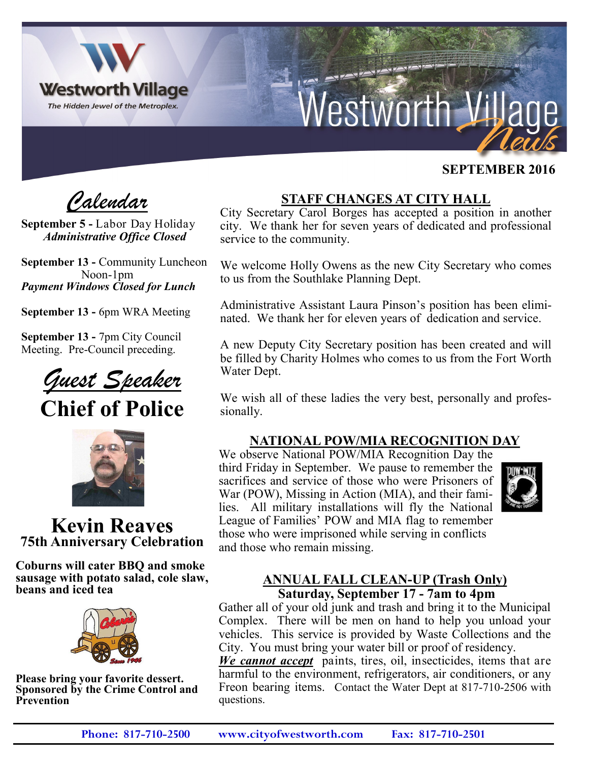

# Nestworth Villa

## **SEPTEMBER 2016**

 *Calendar*

**September 5 -** Labor Day Holiday *Administrative Office Closed*

**September 13 -** Community Luncheon Noon-1pm *Payment Windows Closed for Lunch*

**September 13 -** 6pm WRA Meeting

**September 13 -** 7pm City Council Meeting. Pre-Council preceding.

*Guest Speaker*

**Chief of Police**



**Kevin Reaves 75th Anniversary Celebration**

**Coburns will cater BBQ and smoke sausage with potato salad, cole slaw, beans and iced tea**



**Please bring your favorite dessert. Sponsored by the Crime Control and Prevention** 

# **STAFF CHANGES AT CITY HALL**

City Secretary Carol Borges has accepted a position in another city. We thank her for seven years of dedicated and professional service to the community.

We welcome Holly Owens as the new City Secretary who comes to us from the Southlake Planning Dept.

Administrative Assistant Laura Pinson's position has been eliminated. We thank her for eleven years of dedication and service.

A new Deputy City Secretary position has been created and will be filled by Charity Holmes who comes to us from the Fort Worth Water Dept.

We wish all of these ladies the very best, personally and professionally.

## **NATIONAL POW/MIA RECOGNITION DAY**

We observe National POW/MIA Recognition Day the third Friday in September. We pause to remember the sacrifices and service of those who were Prisoners of War (POW), Missing in Action (MIA), and their families. All military installations will fly the National League of Families' POW and MIA flag to remember those who were imprisoned while serving in conflicts and those who remain missing.



#### **ANNUAL FALL CLEAN-UP (Trash Only) Saturday, September 17 - 7am to 4pm**

Gather all of your old junk and trash and bring it to the Municipal Complex. There will be men on hand to help you unload your vehicles. This service is provided by Waste Collections and the City. You must bring your water bill or proof of residency.

*We cannot accept* paints, tires, oil, insecticides, items that are harmful to the environment, refrigerators, air conditioners, or any Freon bearing items. Contact the Water Dept at 817-710-2506 with questions.